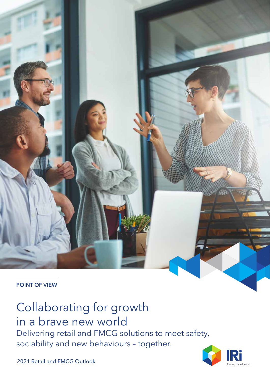POINT OF VIEW

# Collaborating for growth

in a brave new world Delivering retail and FMCG solutions to meet safety, sociability and new behaviours – together.



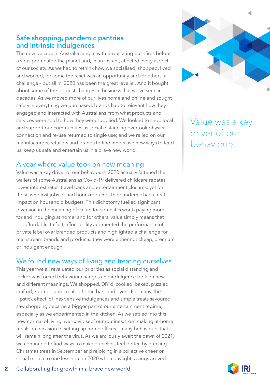# Safe shopping, pandemic pantries and intrinsic indulgences

The new decade in Australia rang in with devastating bushfires before a virus permeated the planet and, in an instant, affected every aspect of our society. As we had to rethink how we socialised, shopped, lived and worked, for some the reset was an opportunity and for others, a challenge – but all in, 2020 has been the great leveller. And it bought about some of the biggest changes in business that we've seen in decades. As we moved more of our lives home and online and sought safety in everything we purchased, brands had to reinvent how they engaged and interacted with Australians, from what products and services were sold to how they were supplied. We looked to shop local and support our communities as social distancing overtook physical connection and re-use returned to single use; and we relied on our manufacturers, retailers and brands to find innovative new ways to feed us, keep us safe and entertain us in a brave new world.

### A year where value took on new meaning

Value was a key driver of our behaviours. 2020 actually fattened the wallets of some Australians as Covid-19 delivered childcare rebates, lower interest rates, travel bans and entertainment closures; yet for those who lost jobs or had hours reduced, the pandemic had a real impact on household budgets. This dichotomy fuelled significant diversion in the meaning of value: for some it is worth paying more for and indulging at home; and for others, value simply means that it is affordable. In fact, affordability augmented the performance of private label over branded products and highlighted a challenge for mainstream brands and products: they were either not cheap, premium or indulgent enough.

# We found new ways of living and treating ourselves

This year we all revaluated our priorities as social distancing and lockdowns forced behaviour changes and indulgence took on new and different meanings. We shopped, DIY'd, cooked, baked, puzzled, crafted, zoomed and created home bars and gyms. For many, the 'lipstick effect' of inexpensive indulgences and simple treats savoured saw shopping became a bigger part of our entertainment regime, especially as we experimented in the kitchen. As we settled into this new normal of living, we 'covidised' our routines, from making at-home meals an occasion to setting up home offices – many behaviours that will remain long after the virus. As we anxiously await the dawn of 2021, we continued to find ways to make ourselves feel better, by erecting Christmas trees in September and rejoicing in a collective cheer on social media to one less hour in 2020 when daylight savings arrived.



Value was a key driver of our behaviours.

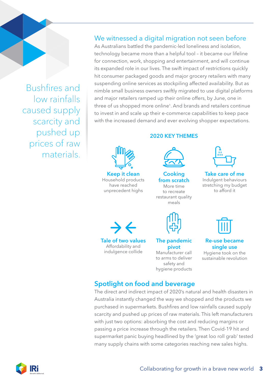Bushfires and low rainfalls caused supply scarcity and pushed up prices of raw materials.

# We witnessed a digital migration not seen before

As Australians battled the pandemic-led loneliness and isolation, technology became more than a helpful tool – it became our lifeline for connection, work, shopping and entertainment, and will continue its expanded role in our lives. The swift impact of restrictions quickly hit consumer packaged goods and major grocery retailers with many suspending online services as stockpiling affected availability. But as nimble small business owners swiftly migrated to use digital platforms and major retailers ramped up their online offers, by June, one in three of us shopped more online<sup>1</sup>. And brands and retailers continue to invest in and scale up their e-commerce capabilities to keep pace with the increased demand and ever evolving shopper expectations.

#### 2020 KEY THEMES



Keep it clean Household products have reached unprecedent highs



**Cooking** from scratch More time to recreate restaurant quality meals



Take care of me Indulgent behaviours stretching my budget to afford it



Affordability and indulgence collide The pandemic pivot Manufacturer call to arms to deliver safety and



Re-use became single use Hygiene took on the

sustainable revolution

# Spotlight on food and beverage

The direct and indirect impact of 2020's natural and health disasters in Australia instantly changed the way we shopped and the products we purchased in supermarkets. Bushfires and low rainfalls caused supply scarcity and pushed up prices of raw materials. This left manufacturers with just two options: absorbing the cost and reducing margins or passing a price increase through the retailers. Then Covid-19 hit and supermarket panic buying headlined by the 'great loo roll grab' tested many supply chains with some categories reaching new sales highs.

hygiene products

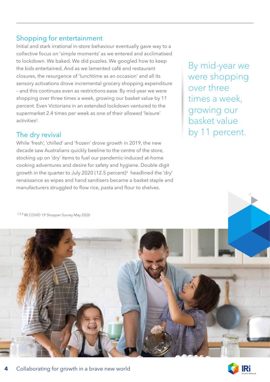# Shopping for entertainment

Initial and stark irrational in-store behaviour eventually gave way to a collective focus on 'simple moments' as we entered and acclimatised to lockdown. We baked. We did puzzles. We googled how to keep the kids entertained. And as we lamented café and restaurant closures, the resurgence of 'lunchtime as an occasion' and all its sensory activations drove incremental grocery shopping expenditure – and this continues even as restrictions ease. By mid-year we were shopping over three times a week, growing our basket value by 11 percent. Even Victorians in an extended lockdown ventured to the supermarket 2.4 times per week as one of their allowed 'leisure' activities<sup>2</sup>.

# The dry revival

While 'fresh', 'chilled' and 'frozen' drove growth in 2019, the new decade saw Australians quickly beeline to the centre of the store, stocking up on 'dry' items to fuel our pandemic-induced at-home cooking adventures and desire for safety and hygiene. Double digit growth in the quarter to July 2020 (12.5 percent)<sup>3</sup> headlined the 'dry' renaissance as wipes and hand sanitisers became a basket staple and manufacturers struggled to flow rice, pasta and flour to shelves.

By mid-year we were shopping over three times a week, growing our basket value by 11 percent.

1,2,3 IRI COVID 19 Shopper Survey May 2020



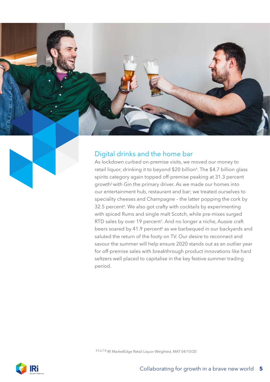

# Digital drinks and the home bar

As lockdown curbed on-premise visits, we moved our money to retail liquor, drinking it to beyond \$20 billion<sup>4</sup>. The \$4.7 billion glass spirits category again topped off-premise peaking at 31.3 percent growth<sup>5</sup> with Gin the primary driver. As we made our homes into our entertainment hub, restaurant and bar; we treated ourselves to speciality cheeses and Champagne – the latter popping the cork by 32.5 percent<sup>6</sup>. We also got crafty with cocktails by experimenting with spiced Rums and single malt Scotch, while pre-mixes surged RTD sales by over 19 percent<sup>7</sup>. And no longer a niche, Aussie craft beers soared by 41.9 percent<sup>8</sup> as we barbequed in our backyards and saluted the return of the footy on TV. Our desire to reconnect and savour the summer will help ensure 2020 stands out as an outlier year for off-premise sales with breakthrough product innovations like hard seltzers well placed to capitalise in the key festive summer trading period.

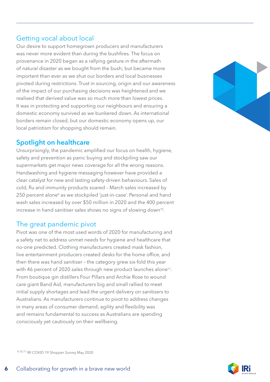# Getting vocal about local

Our desire to support homegrown producers and manufacturers was never more evident than during the bushfires. The focus on provenance in 2020 began as a rallying gesture in the aftermath of natural disaster as we bought from the bush; but became more important than ever as we shut our borders and local businesses pivoted during restrictions. Trust in sourcing, origin and our awareness of the impact of our purchasing decisions was heightened and we realised that derived value was so much more than lowest prices. It was in protecting and supporting our neighbours and ensuring a domestic economy survived as we bunkered down. As international borders remain closed, but our domestic economy opens up, our local patriotism for shopping should remain.

# Spotlight on healthcare

Unsurprisingly, the pandemic amplified our focus on health, hygiene, safety and prevention as panic buying and stockpiling saw our supermarkets get major news coverage for all the wrong reasons. Handwashing and hygiene messaging however have provided a clear catalyst for new and lasting safety-driven behaviours. Sales of cold, flu and immunity products soared – March sales increased by 250 percent alone<sup>9</sup> as we stockpiled 'just-in-case'. Personal and hand wash sales increased by over \$50 million in 2020 and the 400 percent increase in hand sanitiser sales shows no signs of slowing down<sup>10</sup>.

# The great pandemic pivot

Pivot was one of the most used words of 2020 for manufacturing and a safety net to address unmet needs for hygiene and healthcare that no-one predicted. Clothing manufacturers created mask fashion, live entertainment producers created desks for the home office, and then there was hand sanitiser – the category grew six-fold this year with 46 percent of 2020 sales through new product launches alone<sup>11</sup>. From boutique gin distillers Four Pillars and Archie Rose to wound care giant Band Aid, manufacturers big and small rallied to meet initial supply shortages and lead the urgent delivery on sanitisers to Australians. As manufacturers continue to pivot to address changes in many areas of consumer demand; agility and flexibility was and remains fundamental to success as Australians are spending consciously yet cautiously on their wellbeing.



9,10,11 IRI COVID 19 Shopper Survey May 2020

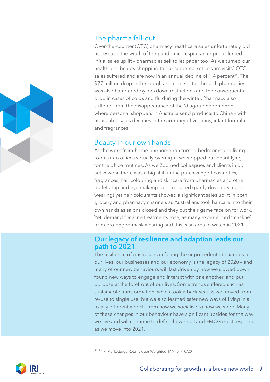

# The pharma fall-out

Over-the-counter (OTC) pharmacy healthcare sales unfortunately did not escape the wrath of the pandemic despite an unprecedented initial sales uplift – pharmacies sell toilet paper too! As we turned our health and beauty shopping to our supermarket 'leisure visits', OTC sales suffered and are now in an annual decline of 1.4 percent<sup>12</sup>. The \$77 million drop in the cough and cold sector through pharmacies<sup>13</sup> was also hampered by lockdown restrictions and the consequential drop in cases of colds and flu during the winter. Pharmacy also suffered from the disappearance of the 'diagou phenomenon' where personal shoppers in Australia send products to China – with noticeable sales declines in the armoury of vitamins, infant formula and fragrances.

### Beauty in our own hands

As the work-from-home phenomenon turned bedrooms and living rooms into offices virtually overnight, we stopped our beautifying for the office routines. As we Zoomed colleagues and clients in our activewear, there was a big shift in the purchasing of cosmetics, fragrances, hair colouring and skincare from pharmacies and other outlets. Lip and eye makeup sales reduced (partly driven by mask wearing) yet hair colourants showed a significant sales uplift in both grocery and pharmacy channels as Australians took haircare into their own hands as salons closed and they put their game face on for work. Yet, demand for acne treatments rose, as many experienced 'maskne' from prolonged mask wearing and this is an area to watch in 2021.

### Our legacy of resilience and adaption leads our path to 2021

The resilience of Australians in facing the unprecedented changes to our lives, our businesses and our economy is the legacy of 2020 – and many of our new behaviours will last driven by how we slowed down, found new ways to engage and interact with one another, and put purpose at the forefront of our lives. Some trends suffered such as sustainable transformation, which took a back seat as we moved from re-use to single use, but we also learned safer new ways of living in a totally different world – from how we socialise to how we shop. Many of these changes in our behaviour have significant upsides for the way we live and will continue to define how retail and FMCG must respond as we move into 2021.

12,13 IRI MarketEdge Retail Liquor Weighted, MAT 04/10/20

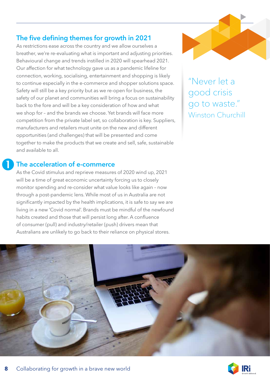# The five defining themes for growth in 2021

As restrictions ease across the country and we allow ourselves a breather, we're re-evaluating what is important and adjusting priorities. Behavioural change and trends instilled in 2020 will spearhead 2021. Our affection for what technology gave us as a pandemic lifeline for connection, working, socialising, entertainment and shopping is likely to continue especially in the e-commerce and shopper solutions space. Safety will still be a key priority but as we re-open for business, the safety of our planet and communities will bring a focus on sustainability back to the fore and will be a key consideration of how and what we shop for – and the brands we choose. Yet brands will face more competition from the private label set, so collaboration is key. Suppliers, manufacturers and retailers must unite on the new and different opportunities (and challenges) that will be presented and come together to make the products that we create and sell, safe, sustainable and available to all.



"Never let a good crisis go to waste." Winston Churchill

# The acceleration of e-commerce  $\mathbf 0$

As the Covid stimulus and reprieve measures of 2020 wind up, 2021 will be a time of great economic uncertainty forcing us to closely monitor spending and re-consider what value looks like again – now through a post-pandemic lens. While most of us in Australia are not significantly impacted by the health implications, it is safe to say we are living in a new 'Covid normal'. Brands must be mindful of the newfound habits created and those that will persist long after. A confluence of consumer (pull) and industry/retailer (push) drivers mean that Australians are unlikely to go back to their reliance on physical stores.



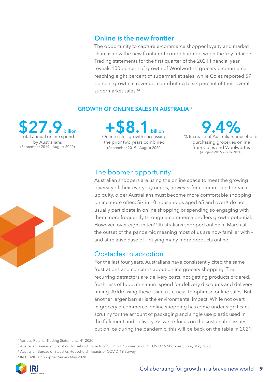### Online is the new frontier

The opportunity to capture e-commerce shopper loyalty and market share is now the new frontier of competition between the key retailers. Trading statements for the first quarter of the 2021 financial year reveals 100 percent of growth of Woolworths' grocery e-commerce reaching eight percent of supermarket sales, while Coles reported 57 percent growth in revenue, contributing to six percent of their overall supermarket sales.<sup>14</sup>

### GROWTH OF ONLINE SALES IN AUSTRALIA<sup>15</sup>

27. al annual online spend by Australians (September 2019 – August 2020) +\$8.1 billion Online sales growth surpassing the prior two years combined (September 2019 – August 2020)

% Increase of Australian households 9.4% purchasing groceries online from Coles and Woolworths (August 2019 – July 2020)

# The boomer opportunity

Australian shoppers are using the online space to meet the growing diversity of their everyday needs, however for e-commerce to reach ubiquity, older Australians must become more comfortable shopping online more often. Six in 10 households aged 65 and over<sup>16</sup> do not usually participate in online shopping or spending so engaging with them more frequently through e-commerce proffers growth potential. However, over eight in ten<sup>17</sup> Australians shopped online in March at the outset of the pandemic meaning most of us are now familiar with – and at relative ease of – buying many more products online.

# Obstacles to adoption

For the last four years, Australians have consistently cited the same frustrations and concerns about online grocery shopping. The recurring detractors are delivery costs, not getting products ordered, freshness of food, minimum spend for delivery discounts and delivery timing. Addressing these issues is crucial to optimise online sales. But another larger barrier is the environmental impact. While not overt in grocery e-commerce, online shopping has come under significant scrutiny for the amount of packaging and single use plastic used in the fulfilment and delivery. As we re-focus on the sustainable issues put on ice during the pandemic, this will be back on the table in 2021.

14 Various Retailer Trading Statements H1 2020

15 Australian Bureau of Statistics Household Impacts of COVID-19 Survey, and IRI COVID 19 Shopper Survey May 2020

- 16 Australian Bureau of Statistics Household Impacts of COVID-19 Survey
- <sup>17</sup> IRI COVID 19 Shopper Survey May 2020



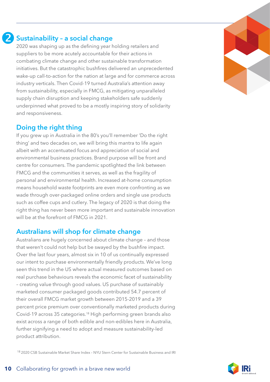# Sustainability – a social change 2

2020 was shaping up as the defining year holding retailers and suppliers to be more acutely accountable for their actions in combating climate change and other sustainable transformation initiatives. But the catastrophic bushfires delivered an unprecedented wake-up call-to-action for the nation at large and for commerce across industry verticals. Then Covid-19 turned Australia's attention away from sustainability, especially in FMCG, as mitigating unparalleled supply chain disruption and keeping stakeholders safe suddenly underpinned what proved to be a mostly inspiring story of solidarity and responsiveness.

### Doing the right thing

If you grew up in Australia in the 80's you'll remember 'Do the right thing' and two decades on, we will bring this mantra to life again albeit with an accentuated focus and appreciation of social and environmental business practices. Brand purpose will be front and centre for consumers. The pandemic spotlighted the link between FMCG and the communities it serves, as well as the fragility of personal and environmental health. Increased at-home consumption means household waste footprints are even more confronting as we wade through over-packaged online orders and single use products such as coffee cups and cutlery. The legacy of 2020 is that doing the right thing has never been more important and sustainable innovation will be at the forefront of FMCG in 2021.

### Australians will shop for climate change

Australians are hugely concerned about climate change – and those that weren't could not help but be swayed by the bushfire impact. Over the last four years, almost six in 10 of us continually expressed our intent to purchase environmentally friendly products. We've long seen this trend in the US where actual measured outcomes based on real purchase behaviours reveals the economic facet of sustainability – creating value through good values. US purchase of sustainably marketed consumer packaged goods contributed 54.7 percent of their overall FMCG market growth between 2015-2019 and a 39 percent price premium over conventionally marketed products during Covid-19 across 35 categories.18 High performing green brands also exist across a range of both edible and non-edibles here in Australia, further signifying a need to adopt and measure sustainability-led product attribution.

18 2020 CSB Sustainable Market Share Index – NYU Stern Center for Sustainable Business and IRI

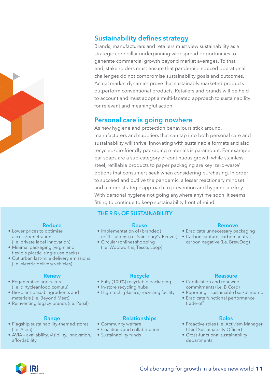

# Sustainability defines strategy

Brands, manufacturers and retailers must view sustainability as a strategic core pillar underpinning widespread opportunities to generate commercial growth beyond market averages. To that end, stakeholders must ensure that pandemic-induced operational challenges do not compromise sustainability goals and outcomes. Actual market dynamics prove that sustainably marketed products outperform conventional products. Retailers and brands will be held to account and must adopt a multi-faceted approach to sustainability for relevant and meaningful action.

### Personal care is going nowhere

As new hygiene and protection behaviours stick around, manufacturers and suppliers that can tap into both personal care and sustainability will thrive. Innovating with sustainable formats and also recycled/bio-friendly packaging materials is paramount. For example, bar soaps are a sub-category of continuous growth while stainless steel, refillable products to paper packaging are key 'zero-waste' options that consumers seek when considering purchasing. In order to succeed and outlive the pandemic, a lesser reactionary mindset and a more strategic approach to prevention and hygiene are key. With personal hygiene not going anywhere anytime soon, it seems fitting to continue to keep sustainability front of mind.

### THE 9 Rs OF SUSTAINABILITY

#### Reuse

- Implementation of (branded)
- Circular (online) shopping (i.e. Woolworths, Tesco, Loop)

#### Remove

- Eradicate unnecessary packaging
- refill-stations (i.e. Sainsbury's, Ecover) Carbon capture, carbon neutral, carbon negative (i.e. BrewDog)

#### **Reduce**

- Lower prices to optimise access/penetration (i.e. private label innovation)
- Minimal packaging (virgin and flexible plastic, single use packs)
- Cut urban last-mile delivery emissions (i.e. electric delivery vehicles)

#### Renew

- Regenerative agriculture (i.e. dirtycleanfood.com.au)
- Bio/plant-based ingredients and materials (i.e. Beyond Meat)
- Reinventing legacy brands (i.e. Persil)

#### Range

- Flagship sustainability-themed stores (i.e. Asda)
- AVIA availability, visibility, innovation, affordability

#### Recycle

- Fully (100%) recyclable packaging
- In-store recycling hubs
- High-tech (plastics) recycling facility

#### Relationships

- Community welfare
- Coalitions and collaboration
- Sustainability funds

#### Reassure

- Certification and renewed commitments (i.e. B Corp)
- Reporting sustainable basket metric
- Eradicate functional performance trade-off

#### Roles

- Proactive roles (i.e. Activism Manager, Chief Sustainability Officer)
- Cross-functional sustainability departments

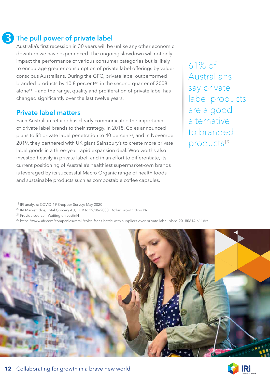# The pull power of private label 8

Australia's first recession in 30 years will be unlike any other economic downturn we have experienced. The ongoing slowdown will not only impact the performance of various consumer categories but is likely to encourage greater consumption of private label offerings by valueconscious Australians. During the GFC, private label outperformed branded products by 10.8 percent<sup>20</sup> in the second quarter of 2008 alone21 – and the range, quality and proliferation of private label has changed significantly over the last twelve years.

### Private label matters

Each Australian retailer has clearly communicated the importance of private label brands to their strategy. In 2018, Coles announced plans to lift private label penetration to 40 percent<sup>22</sup>, and in November 2019, they partnered with UK giant Sainsbury's to create more private label goods in a three-year rapid expansion deal. Woolworths also invested heavily in private label; and in an effort to differentiate, its current positioning of Australia's healthiest supermarket-own brands is leveraged by its successful Macro Organic range of health foods and sustainable products such as compostable coffee capsules.

61% of Australians say private label products are a good alternative to branded products<sup>19</sup>

19 IRI analysis; COVID-19 Shopper Survey; May 2020

<sup>20</sup> IRI MarketEdge, Total Grocery AU, QTR to 29/06/2008, Dollar Growth % vs YA

21 Provide source – Waiting on JustinN

22 https://www.afr.com/companies/retail/coles-faces-battle-with-suppliers-over-private-label-plans-20180614-h11drz



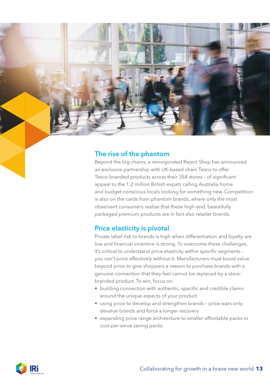

# The rise of the phantom

Beyond the big chains, a reinvigorated Reject Shop has announced an exclusive partnership with UK-based chain Tesco to offer Tesco-branded products across their 354 stores – of significant appeal to the 1.2 million British expats calling Australia home and budget-conscious locals looking for something new. Competition is also on the cards from phantom brands, where only the most observant consumers realise that these high-end, beautifully packaged premium products are in fact also retailer brands.

# Price elasticity is pivotal

Private label risk to brands is high when differentiation and loyalty are low and financial incentive is strong. To overcome these challenges, it's critical to understand price elasticity within specific segments – you can't price effectively without it. Manufacturers must boost value beyond price to give shoppers a reason to purchase brands with a genuine connection that they feel cannot be replaced by a storebranded product. To win, focus on:

- building connection with authentic, specific and credible claims around the unique aspects of your product
- using price to develop and strengthen brands price wars only devalue brands and force a longer recovery
- expanding price range architecture to smaller affordable packs or cost-per-serve saving packs.

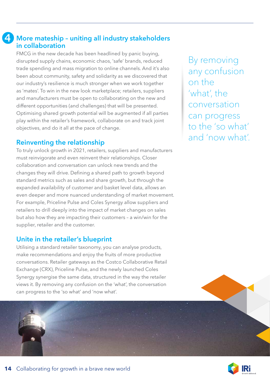#### More mateship – uniting all industry stakeholders in collaboration 4

FMCG in the new decade has been headlined by panic buying, disrupted supply chains, economic chaos, 'safe' brands, reduced trade spending and mass migration to online channels. And it's also been about community, safety and solidarity as we discovered that our industry's resilience is much stronger when we work together as 'mates'. To win in the new look marketplace; retailers, suppliers and manufacturers must be open to collaborating on the new and different opportunities (and challenges) that will be presented. Optimising shared growth potential will be augmented if all parties play within the retailer's framework, collaborate on and track joint objectives, and do it all at the pace of change.

# Reinventing the relationship

To truly unlock growth in 2021, retailers, suppliers and manufacturers must reinvigorate and even reinvent their relationships. Closer collaboration and conversation can unlock new trends and the changes they will drive. Defining a shared path to growth beyond standard metrics such as sales and share growth, but through the expanded availability of customer and basket level data, allows an even deeper and more nuanced understanding of market movement. For example, Priceline Pulse and Coles Synergy allow suppliers and retailers to drill deeply into the impact of market changes on sales but also how they are impacting their customers – a win/win for the supplier, retailer and the customer.

# Unite in the retailer's blueprint

Utilising a standard retailer taxonomy, you can analyse products, make recommendations and enjoy the fruits of more productive conversations. Retailer gateways as the Costco Collaborative Retail Exchange (CRX), Priceline Pulse, and the newly launched Coles Synergy synergise the same data, structured in the way the retailer views it. By removing any confusion on the 'what', the conversation can progress to the 'so what' and 'now what'.

By removing any confusion on the 'what', the conversation can progress to the 'so what' and 'now what'.

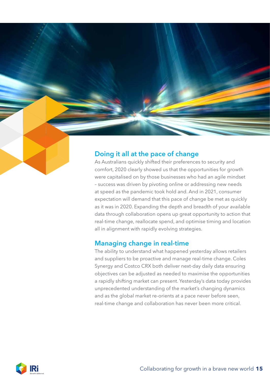# Doing it all at the pace of change

As Australians quickly shifted their preferences to security and comfort, 2020 clearly showed us that the opportunities for growth were capitalised on by those businesses who had an agile mindset – success was driven by pivoting online or addressing new needs at speed as the pandemic took hold and. And in 2021, consumer expectation will demand that this pace of change be met as quickly as it was in 2020. Expanding the depth and breadth of your available data through collaboration opens up great opportunity to action that real-time change, reallocate spend, and optimise timing and location all in alignment with rapidly evolving strategies.

### Managing change in real-time

The ability to understand what happened yesterday allows retailers and suppliers to be proactive and manage real-time change. Coles Synergy and Costco CRX both deliver next-day daily data ensuring objectives can be adjusted as needed to maximise the opportunities a rapidly shifting market can present. Yesterday's data today provides unprecedented understanding of the market's changing dynamics and as the global market re-orients at a pace never before seen, real-time change and collaboration has never been more critical.

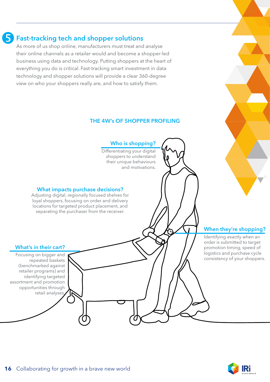

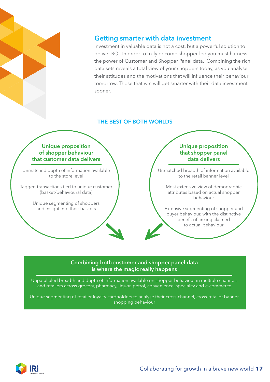

# Getting smarter with data investment

Investment in valuable data is not a cost, but a powerful solution to deliver ROI. In order to truly become shopper-led you must harness the power of Customer and Shopper Panel data. Combining the rich data sets reveals a total view of your shoppers today, as you analyse their attitudes and the motivations that will influence their behaviour tomorrow. Those that win will get smarter with their data investment sooner.

### THE BEST OF BOTH WORLDS

#### Unique proposition of shopper behaviour that customer data delivers

Unmatched depth of information available to the store level

Tagged transactions tied to unique customer (basket/behavioural data)

> Unique segmenting of shoppers and insight into their baskets

#### Unique proposition that shopper panel data delivers

Unmatched breadth of information available to the retail banner level

Most extensive view of demographic attributes based on actual shopper behaviour

Extensive segmenting of shopper and buyer behaviour, with the distinctive benefit of linking claimed to actual behaviour

#### Combining both customer and shopper panel data is where the magic really happens

Unparalleled breadth and depth of information available on shopper behaviour in multiple channels and retailers across grocery, pharmacy, liquor, petrol, convenience, speciality and e-commerce

Unique segmenting of retailer loyalty cardholders to analyse their cross-channel, cross-retailer banner shopping behaviour

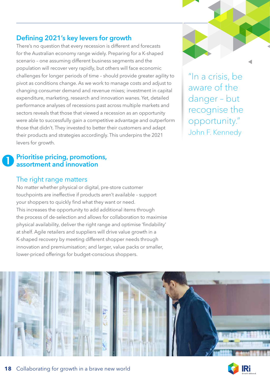# Defining 2021's key levers for growth

There's no question that every recession is different and forecasts for the Australian economy range widely. Preparing for a K-shaped scenario – one assuming different business segments and the population will recover very rapidly, but others will face economic challenges for longer periods of time – should provide greater agility to pivot as conditions change. As we work to manage costs and adjust to changing consumer demand and revenue mixes; investment in capital expenditure, marketing, research and innovation wanes. Yet, detailed performance analyses of recessions past across multiple markets and sectors reveals that those that viewed a recession as an opportunity were able to successfully gain a competitive advantage and outperform those that didn't. They invested to better their customers and adapt their products and strategies accordingly. This underpins the 2021 levers for growth.

#### Prioritise pricing, promotions, assortment and innovation  $\mathbf 0$

### The right range matters

No matter whether physical or digital, pre-store customer touchpoints are ineffective if products aren't available – support your shoppers to quickly find what they want or need. This increases the opportunity to add additional items through the process of de-selection and allows for collaboration to maximise physical availability, deliver the right range and optimise 'findability' at shelf. Agile retailers and suppliers will drive value growth in a K-shaped recovery by meeting different shopper needs through innovation and premiumisation; and larger, value packs or smaller, lower-priced offerings for budget-conscious shoppers.

"In a crisis, be aware of the danger – but recognise the opportunity." John F. Kennedy



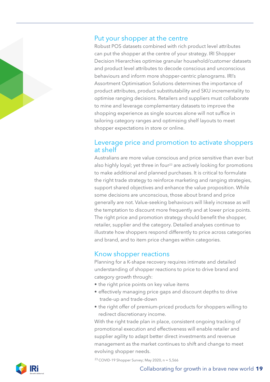### Put your shopper at the centre

Robust POS datasets combined with rich product level attributes can put the shopper at the centre of your strategy. IRI Shopper Decision Hierarchies optimise granular household/customer datasets and product level attributes to decode conscious and unconscious behaviours and inform more shopper-centric planograms. IRI's Assortment Optimisation Solutions determines the importance of product attributes, product substitutability and SKU incrementality to optimise ranging decisions. Retailers and suppliers must collaborate to mine and leverage complementary datasets to improve the shopping experience as single sources alone will not suffice in tailoring category ranges and optimising shelf layouts to meet shopper expectations in store or online.

### Leverage price and promotion to activate shoppers at shelf

Australians are more value conscious and price sensitive than ever but also highly loyal; yet three in four<sup>23</sup> are actively looking for promotions to make additional and planned purchases. It is critical to formulate the right trade strategy to reinforce marketing and ranging strategies, support shared objectives and enhance the value proposition. While some decisions are unconscious, those about brand and price generally are not. Value-seeking behaviours will likely increase as will the temptation to discount more frequently and at lower price points. The right price and promotion strategy should benefit the shopper, retailer, supplier and the category. Detailed analyses continue to illustrate how shoppers respond differently to price across categories and brand, and to item price changes within categories.

# Know shopper reactions

Planning for a K-shape recovery requires intimate and detailed understanding of shopper reactions to price to drive brand and category growth through:

- the right price points on key value items
- effectively managing price gaps and discount depths to drive trade-up and trade-down
- the right offer of premium-priced products for shoppers willing to redirect discretionary income.

With the right trade plan in place, consistent ongoing tracking of promotional execution and effectiveness will enable retailer and supplier agility to adapt better direct investments and revenue management as the market continues to shift and change to meet evolving shopper needs.

<sup>23</sup> COVID-19 Shopper Survey; May 2020,  $n = 5,566$ 

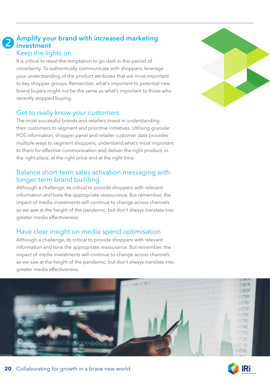### Amplify your brand with increased marketing **2** Amplify you Keep the lights on

It is critical to resist the temptation to go dark in this period of uncertainty. To authentically communicate with shoppers, leverage your understanding of the product attributes that are most important to key shopper groups. Remember, what's important to potential new brand buyers might not be the same as what's important to those who recently stopped buying.

### Get to really know your customers

The most successful brands and retailers invest in understanding their customers to segment and prioritise initiatives. Utilising granular POS information, shopper panel and retailer customer data provides multiple ways to segment shoppers, understand what's most important to them for effective communication and deliver the right product, in the right place, at the right price and at the right time.

### Balance short-term sales activation messaging with longer-term brand building

Although a challenge, its critical to provide shoppers with relevant information and tone the appropriate reassurance. But remember, the impact of media investments will continue to change across channels as we saw at the height of the pandemic, but don't always translate into greater media effectiveness.

# Have clear insight on media spend optimisation

Although a challenge, its critical to provide shoppers with relevant information and tone the appropriate reassurance. But remember, the impact of media investments will continue to change across channels as we saw at the height of the pandemic, but don't always translate into greater media effectiveness.





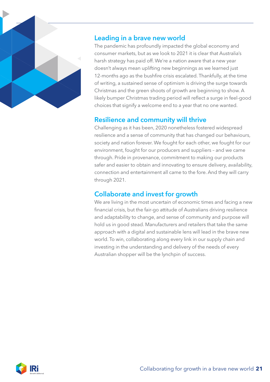

### Leading in a brave new world

The pandemic has profoundly impacted the global economy and consumer markets, but as we look to 2021 it is clear that Australia's harsh strategy has paid off. We're a nation aware that a new year doesn't always mean uplifting new beginnings as we learned just 12-months ago as the bushfire crisis escalated. Thankfully, at the time of writing, a sustained sense of optimism is driving the surge towards Christmas and the green shoots of growth are beginning to show. A likely bumper Christmas trading period will reflect a surge in feel-good choices that signify a welcome end to a year that no one wanted.

# Resilience and community will thrive

Challenging as it has been, 2020 nonetheless fostered widespread resilience and a sense of community that has changed our behaviours, society and nation forever. We fought for each other, we fought for our environment, fought for our producers and suppliers – and we came through. Pride in provenance, commitment to making our products safer and easier to obtain and innovating to ensure delivery, availability, connection and entertainment all came to the fore. And they will carry through 2021.

# Collaborate and invest for growth

We are living in the most uncertain of economic times and facing a new financial crisis, but the fair-go attitude of Australians driving resilience and adaptability to change, and sense of community and purpose will hold us in good stead. Manufacturers and retailers that take the same approach with a digital and sustainable lens will lead in the brave new world. To win, collaborating along every link in our supply chain and investing in the understanding and delivery of the needs of every Australian shopper will be the lynchpin of success.